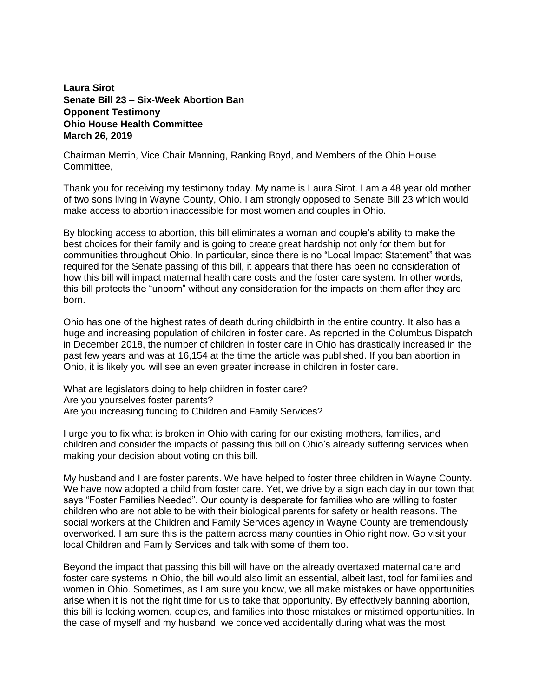## **Laura Sirot Senate Bill 23 – Six-Week Abortion Ban Opponent Testimony Ohio House Health Committee March 26, 2019**

Chairman Merrin, Vice Chair Manning, Ranking Boyd, and Members of the Ohio House Committee,

Thank you for receiving my testimony today. My name is Laura Sirot. I am a 48 year old mother of two sons living in Wayne County, Ohio. I am strongly opposed to Senate Bill 23 which would make access to abortion inaccessible for most women and couples in Ohio.

By blocking access to abortion, this bill eliminates a woman and couple's ability to make the best choices for their family and is going to create great hardship not only for them but for communities throughout Ohio. In particular, since there is no "Local Impact Statement" that was required for the Senate passing of this bill, it appears that there has been no consideration of how this bill will impact maternal health care costs and the foster care system. In other words, this bill protects the "unborn" without any consideration for the impacts on them after they are born.

Ohio has one of the highest rates of death during childbirth in the entire country. It also has a huge and increasing population of children in foster care. As reported in the Columbus Dispatch in December 2018, the number of children in foster care in Ohio has drastically increased in the past few years and was at 16,154 at the time the article was published. If you ban abortion in Ohio, it is likely you will see an even greater increase in children in foster care.

What are legislators doing to help children in foster care? Are you yourselves foster parents? Are you increasing funding to Children and Family Services?

I urge you to fix what is broken in Ohio with caring for our existing mothers, families, and children and consider the impacts of passing this bill on Ohio's already suffering services when making your decision about voting on this bill.

My husband and I are foster parents. We have helped to foster three children in Wayne County. We have now adopted a child from foster care. Yet, we drive by a sign each day in our town that says "Foster Families Needed". Our county is desperate for families who are willing to foster children who are not able to be with their biological parents for safety or health reasons. The social workers at the Children and Family Services agency in Wayne County are tremendously overworked. I am sure this is the pattern across many counties in Ohio right now. Go visit your local Children and Family Services and talk with some of them too.

Beyond the impact that passing this bill will have on the already overtaxed maternal care and foster care systems in Ohio, the bill would also limit an essential, albeit last, tool for families and women in Ohio. Sometimes, as I am sure you know, we all make mistakes or have opportunities arise when it is not the right time for us to take that opportunity. By effectively banning abortion, this bill is locking women, couples, and families into those mistakes or mistimed opportunities. In the case of myself and my husband, we conceived accidentally during what was the most